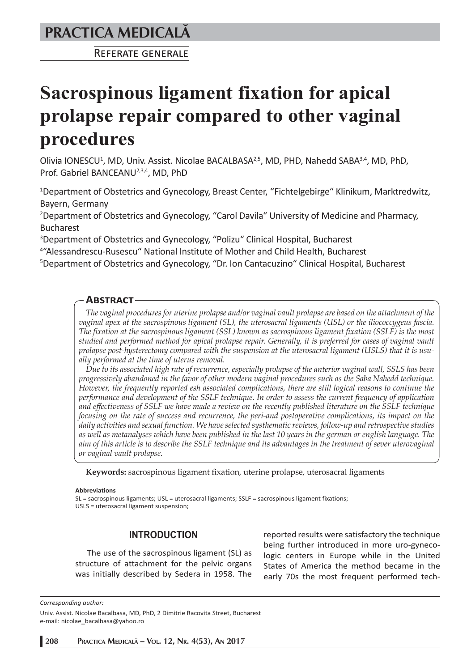# **PRACTICA MEDICALÅ**

REFERATE GENERALE

# **Sacrospinous ligament fixation for apical prolapse repair compared to other vaginal procedures**

Olivia IONESCU<sup>1</sup>, MD, Univ. Assist. Nicolae BACALBASA<sup>2,5</sup>, MD, PHD, Nahedd SABA<sup>3,4</sup>, MD, PhD, Prof. Gabriel BANCEANU<sup>2,3,4</sup>, MD, PhD

<sup>1</sup>Department of Obstetrics and Gynecology, Breast Center, "Fichtelgebirge" Klinikum, Marktredwitz, Bayern, Germany

<sup>2</sup>Department of Obstetrics and Gynecology, "Carol Davila" University of Medicine and Pharmacy, Bucharest

3 Department of Obstetrics and Gynecology, "Polizu" Clinical Hospital, Bucharest

<sup>4</sup> "Alessandrescu-Rusescu" National Institute of Mother and Child Health, Bucharest<br><sup>5</sup>Denartment of Obstetrics and Gynecology. "Dr. Ion Cantacuzino" Clinical Hosnital. E

<sup>5</sup>Department of Obstetrics and Gynecology, "Dr. Ion Cantacuzino" Clinical Hospital, Bucharest

# **ABSTRACT**

*The vaginal procedures for uterine prolapse and/or vaginal vault prolapse are based on the attachment of the vaginal apex at the sacrospinous ligament (SL), the uterosacral ligaments (USL) or the iliococcygeus fascia. The fixation at the sacrospinous ligament (SSL) known as sacrospinous ligament fixation (SSLF) is the most studied and performed method for apical prolapse repair. Generally, it is preferred for cases of vaginal vault prolapse post-hysterectomy compared with the suspension at the uterosacral ligament (USLS) that it is usually performed at the time of uterus removal.*

*Due to its associated high rate of recurrence, especially prolapse of the anterior vaginal wall, SSLS has been progressively abandoned in the favor of other modern vaginal procedures such as the Saba Nahedd technique. However, the frequently reported esh associated complications, there are still logical reasons to continue the performance and development of the SSLF technique. In order to assess the current frequency of application and effectiveness of SSLF we have made a review on the recently published literature on the SSLF technique focusing on the rate of success and recurrence, the peri-and postoperative complications, its impact on the daily activities and sexual function. We have selected systhematic reviews, follow-up and retrospective studies as well as metanalyses which have been published in the last 10 years in the german or english language. The aim of this article is to describe the SSLF technique and its advantages in the treatment of sever uterovaginal or vaginal vault prolapse.*

**Keywords:** sacrospinous ligament fixation, uterine prolapse, uterosacral ligaments

#### **Abbreviations**

SL = sacrospinous ligaments; USL = uterosacral ligaments; SSLF = sacrospinous ligament fixations; USLS = uterosacral ligament suspension;

# **INTRODUCTION**

The use of the sacrospinous ligament (SL) as structure of attachment for the pelvic organs was initially described by Sedera in 1958. The reported results were satisfactory the technique being further introduced in more uro-gynecologic centers in Europe while in the United States of America the method became in the early 70s the most frequent performed tech-

*Corresponding author:* 

Univ. Assist. Nicolae Bacalbasa, MD, PhD, 2 Dimitrie Racovita Street, Bucharest e-mail: nicolae\_bacalbasa@yahoo.ro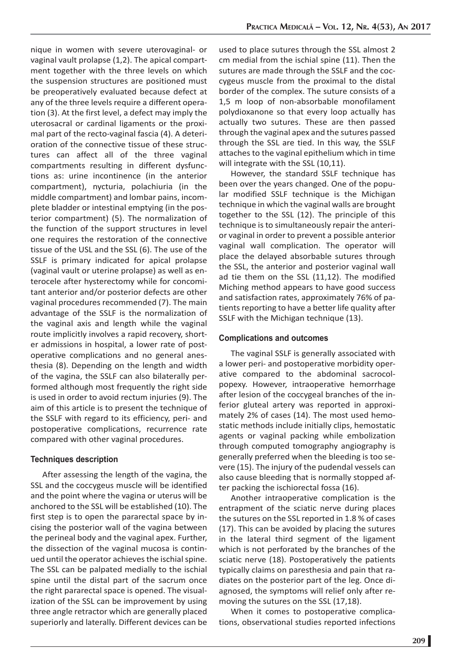nique in women with severe uterovaginal- or vaginal vault prolapse (1,2). The apical compartment together with the three levels on which the suspension structures are positioned must be preoperatively evaluated because defect at any of the three levels require a different operation (3). At the first level, a defect may imply the uterosacral or cardinal ligaments or the proximal part of the recto-vaginal fascia (4). A deterioration of the connective tissue of these structures can affect all of the three vaginal compartments resulting in different dysfunctions as: urine incontinence (in the anterior compartment), nycturia, polachiuria (in the middle compartment) and lombar pains, incomplete bladder or intestinal emptying (in the posterior compartment) (5). The normalization of the function of the support structures in level one requires the restoration of the connective tissue of the USL and the SSL (6). The use of the SSLF is primary indicated for apical prolapse (vaginal vault or uterine prolapse) as well as enterocele after hysterectomy while for concomitant anterior and/or posterior defects are other vaginal procedures recommended (7). The main advantage of the SSLF is the normalization of the vaginal axis and length while the vaginal route implicitly involves a rapid recovery, shorter admissions in hospital, a lower rate of postoperative complications and no general anesthesia (8). Depending on the length and width of the vagina, the SSLF can also bilaterally performed although most frequently the right side is used in order to avoid rectum injuries (9). The aim of this article is to present the technique of the SSLF with regard to its efficiency, peri- and postoperative complications, recurrence rate compared with other vaginal procedures.

### **Techniques description**

After assessing the length of the vagina, the SSL and the coccygeus muscle will be identified and the point where the vagina or uterus will be anchored to the SSL will be established (10). The first step is to open the pararectal space by incising the posterior wall of the vagina between the perineal body and the vaginal apex. Further, the dissection of the vaginal mucosa is continued until the operator achieves the ischial spine. The SSL can be palpated medially to the ischial spine until the distal part of the sacrum once the right pararectal space is opened. The visualization of the SSL can be improvement by using three angle retractor which are generally placed superiorly and laterally. Different devices can be

used to place sutures through the SSL almost 2 cm medial from the ischial spine (11). Then the sutures are made through the SSLF and the coccygeus muscle from the proximal to the distal border of the complex. The suture consists of a 1,5 m loop of non-absorbable monofilament polydioxanone so that every loop actually has actually two sutures. These are then passed through the vaginal apex and the sutures passed through the SSL are tied. In this way, the SSLF attaches to the vaginal epithelium which in time will integrate with the SSL (10,11).

However, the standard SSLF technique has been over the years changed. One of the popular modified SSLF technique is the Michigan technique in which the vaginal walls are brought together to the SSL (12). The principle of this technique is to simultaneously repair the anterior vaginal in order to prevent a possible anterior vaginal wall complication. The operator will place the delayed absorbable sutures through the SSL, the anterior and posterior vaginal wall ad tie them on the SSL (11,12). The modified Miching method appears to have good success and satisfaction rates, approximately 76% of patients reporting to have a better life quality after SSLF with the Michigan technique (13).

### **Complications and outcomes**

The vaginal SSLF is generally associated with a lower peri- and postoperative morbidity operative compared to the abdominal sacrocolpopexy. However, intraoperative hemorrhage after lesion of the coccygeal branches of the inferior gluteal artery was reported in approximately 2% of cases (14). The most used hemostatic methods include initially clips, hemostatic agents or vaginal packing while embolization through computed tomography angiography is generally preferred when the bleeding is too severe (15). The injury of the pudendal vessels can also cause bleeding that is normally stopped after packing the ischiorectal fossa (16).

Another intraoperative complication is the entrapment of the sciatic nerve during places the sutures on the SSL reported in 1.8 % of cases (17). This can be avoided by placing the sutures in the lateral third segment of the ligament which is not perforated by the branches of the sciatic nerve (18). Postoperatively the patients typically claims on paresthesia and pain that radiates on the posterior part of the leg. Once diagnosed, the symptoms will relief only after removing the sutures on the SSL (17,18).

When it comes to postoperative complications, observational studies reported infections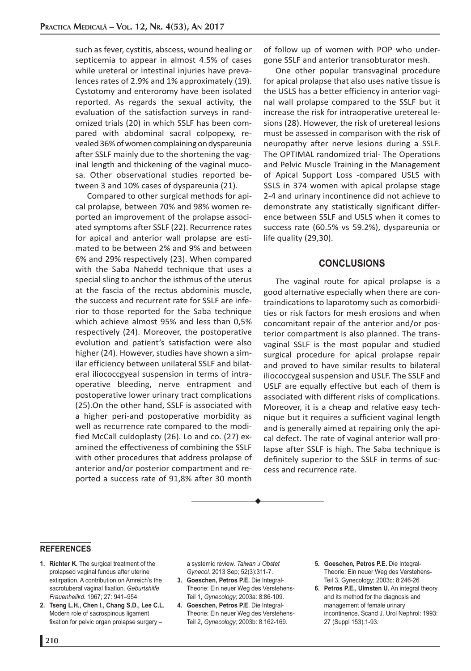such as fever, cystitis, abscess, wound healing or septicemia to appear in almost 4.5% of cases while ureteral or intestinal injuries have prevalences rates of 2.9% and 1% approximately (19). Cystotomy and enteroromy have been isolated reported. As regards the sexual activity, the evaluation of the satisfaction surveys in randomized trials (20) in which SSLF has been compared with abdominal sacral colpopexy, revealed 36% of women complaining on dyspareunia after SSLF mainly due to the shortening the vaginal length and thickening of the vaginal mucosa. Other observational studies reported between 3 and 10% cases of dyspareunia (21).

Compared to other surgical methods for apical prolapse, between 70% and 98% women reported an improvement of the prolapse associated symptoms after SSLF (22). Recurrence rates for apical and anterior wall prolapse are estimated to be between 2% and 9% and between 6% and 29% respectively (23). When compared with the Saba Nahedd technique that uses a special sling to anchor the isthmus of the uterus at the fascia of the rectus abdominis muscle, the success and recurrent rate for SSLF are inferior to those reported for the Saba technique which achieve almost 95% and less than 0,5% respectively (24). Moreover, the postoperative evolution and patient's satisfaction were also higher (24). However, studies have shown a similar efficiency between unilateral SSLF and bilateral iliococcgyeal suspension in terms of intraoperative bleeding, nerve entrapment and postoperative lower urinary tract complications (25).On the other hand, SSLF is associated with a higher peri-and postoperative morbidity as well as recurrence rate compared to the modified McCall culdoplasty (26). Lo and co. (27) examined the effectiveness of combining the SSLF with other procedures that address prolapse of anterior and/or posterior compartment and reported a success rate of 91,8% after 30 month

of follow up of women with POP who undergone SSLF and anterior transobturator mesh.

One other popular transvaginal procedure for apical prolapse that also uses native tissue is the USLS has a better efficiency in anterior vaginal wall prolapse compared to the SSLF but it increase the risk for intraoperative uretereal lesions (28). However, the risk of uretereal lesions must be assessed in comparison with the risk of neuropathy after nerve lesions during a SSLF. The OPTIMAL randomized trial- The Operations and Pelvic Muscle Training in the Management of Apical Support Loss -compared USLS with SSLS in 374 women with apical prolapse stage 2-4 and urinary incontinence did not achieve to demonstrate any statistically significant difference between SSLF and USLS when it comes to success rate (60.5% vs 59.2%), dyspareunia or life quality (29,30).

# **CONCLUSIONS**

The vaginal route for apical prolapse is a good alternative especially when there are contraindications to laparotomy such as comorbidities or risk factors for mesh erosions and when concomitant repair of the anterior and/or posterior compartment is also planned. The transvaginal SSLF is the most popular and studied surgical procedure for apical prolapse repair and proved to have similar results to bilateral iliococcygeal suspension and USLF. The SSLF and USLF are equally effective but each of them is associated with different risks of complications. Moreover, it is a cheap and relative easy technique but it requires a sufficient vaginal length and is generally aimed at repairing only the apical defect. The rate of vaginal anterior wall prolapse after SSLF is high. The Saba technique is definitely superior to the SSLF in terms of success and recurrence rate.

#### **REFERENCES**

- **1. Richter K.** The surgical treatment of the prolapsed vaginal fundus after uterine extirpation. A contribution on Amreich's the sacrotuberal vaginal fixation. *Geburtshilfe Frauenheilkd.* 1967; 27: 941–954
- **2. Tseng L.H., Chen I., Chang S.D., Lee C.L.** Modern role of sacrospinous ligament fixation for pelvic organ prolapse surgery –

a systemic review. *Taiwan J Obstet Gynecol.* 2013 Sep; 52(3):311-7.

- **3. Goeschen, Petros P.E.** Die Integral-Theorie: Ein neuer Weg des Verstehens-Teil 1, *Gynecology;* 2003a: 8:86-109.
- **4. Goeschen, Petros P.E**. Die Integral-Theorie: Ein neuer Weg des Verstehens-Teil 2, *Gynecology;* 2003b: 8:162-169.
- **5. Goeschen, Petros P.E.** Die Integral-Theorie: Ein neuer Weg des Verstehens-Teil 3, Gynecology; 2003c: 8:246-26
- **6. Petros P.E., Ulmsten U.** An integral theory and its method for the diagnosis and management of female urinary incontinence. Scand J. Urol Nephrol: 1993: 27 (Suppl 153):1-93.